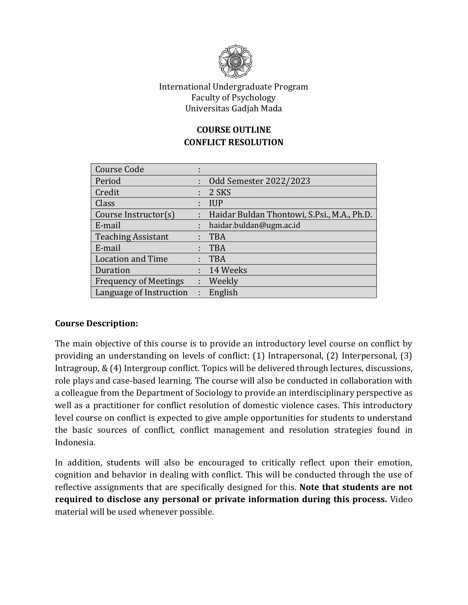

## International Undergraduate Program Faculty of Psychology Universitas Gadjah Mada

# **COURSE OUTLINE CONFLICT RESOLUTION**

| <b>Course Code</b>           | ٠<br>×. |                                             |
|------------------------------|---------|---------------------------------------------|
| Period                       |         | Odd Semester 2022/2023                      |
| Credit                       |         | 2 SKS                                       |
| Class                        |         | <b>IUP</b>                                  |
| Course Instructor(s)         |         | Haidar Buldan Thontowi, S.Psi., M.A., Ph.D. |
| E-mail                       | t       | haidar.buldan@ugm.ac.id                     |
| <b>Teaching Assistant</b>    |         | <b>TBA</b>                                  |
| E-mail                       |         | <b>TBA</b>                                  |
| <b>Location and Time</b>     |         | <b>TBA</b>                                  |
| Duration                     |         | 14 Weeks                                    |
| <b>Frequency of Meetings</b> |         | : Weekly                                    |
| Language of Instruction      | t.      | English                                     |

# **Course Description:**

The main objective of this course is to provide an introductory level course on conflict by providing an understanding on levels of conflict: (1) Intrapersonal, (2) Interpersonal, (3) Intragroup, & (4) Intergroup conflict. Topics will be delivered through lectures, discussions, role plays and case-based learning. The course will also be conducted in collaboration with a colleague from the Department of Sociology to provide an interdisciplinary perspective as well as a practitioner for conflict resolution of domestic violence cases. This introductory level course on conflict is expected to give ample opportunities for students to understand the basic sources of conflict, conflict management and resolution strategies found in Indonesia.

In addition, students will also be encouraged to critically reflect upon their emotion, cognition and behavior in dealing with conflict. This will be conducted through the use of reflective assignments that are specifically designed for this. **Note that students are not required to disclose any personal or private information during this process.** Video material will be used whenever possible.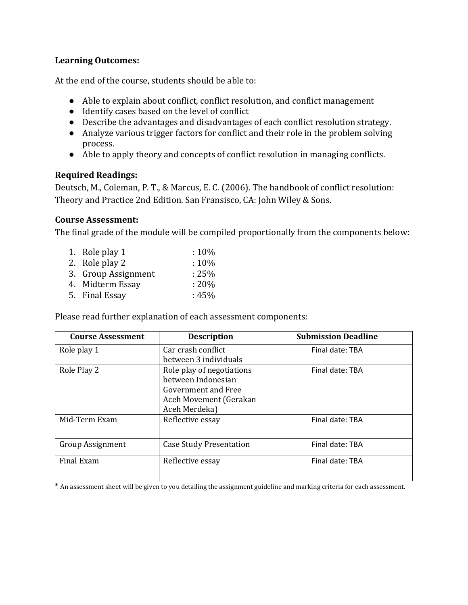## **Learning Outcomes:**

At the end of the course, students should be able to:

- Able to explain about conflict, conflict resolution, and conflict management
- Identify cases based on the level of conflict
- Describe the advantages and disadvantages of each conflict resolution strategy.
- Analyze various trigger factors for conflict and their role in the problem solving process.
- Able to apply theory and concepts of conflict resolution in managing conflicts.

## **Required Readings:**

Deutsch, M., Coleman, P. T., & Marcus, E. C. (2006). The handbook of conflict resolution: Theory and Practice 2nd Edition. San Fransisco, CA: John Wiley & Sons.

## **Course Assessment:**

The final grade of the module will be compiled proportionally from the components below:

| 1. Role play 1      | $:10\%$  |
|---------------------|----------|
| 2. Role play 2      | :10%     |
| 3. Group Assignment | $: 25\%$ |
| 4. Midterm Essay    | $: 20\%$ |
| 5. Final Essay      | : $45\%$ |

Please read further explanation of each assessment components:

| <b>Course Assessment</b> | <b>Description</b>             | <b>Submission Deadline</b> |
|--------------------------|--------------------------------|----------------------------|
| Role play 1              | Car crash conflict             | Final date: TBA            |
|                          | between 3 individuals          |                            |
| Role Play 2              | Role play of negotiations      | Final date: TBA            |
|                          | between Indonesian             |                            |
|                          | Government and Free            |                            |
|                          | Aceh Movement (Gerakan         |                            |
|                          | Aceh Merdeka)                  |                            |
| Mid-Term Exam            | Reflective essay               | Final date: TBA            |
|                          |                                |                            |
| <b>Group Assignment</b>  | <b>Case Study Presentation</b> | Final date: TBA            |
| <b>Final Exam</b>        | Reflective essay               | Final date: TBA            |
|                          |                                |                            |

\* An assessment sheet will be given to you detailing the assignment guideline and marking criteria for each assessment.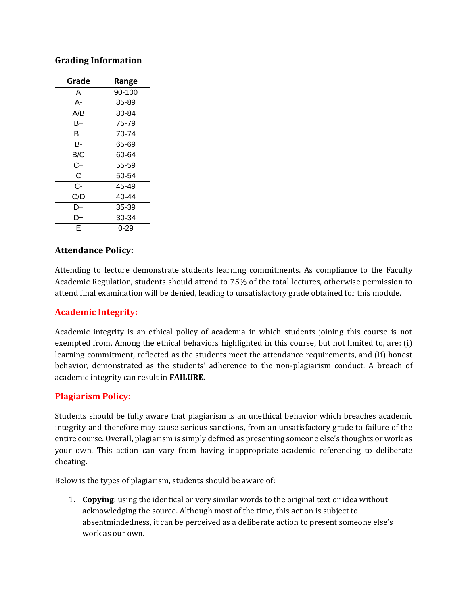#### **Grading Information**

| Grade | Range  |
|-------|--------|
| A     | 90-100 |
| А-    | 85-89  |
| A/B   | 80-84  |
| B+    | 75-79  |
| B+    | 70-74  |
| в-    | 65-69  |
| B/C   | 60-64  |
| C+    | 55-59  |
| C     | 50-54  |
| C-    | 45-49  |
| C/D   | 40-44  |
| D+    | 35-39  |
| D+    | 30-34  |
| F     | 0-29   |

#### **Attendance Policy:**

Attending to lecture demonstrate students learning commitments. As compliance to the Faculty Academic Regulation, students should attend to 75% of the total lectures, otherwise permission to attend final examination will be denied, leading to unsatisfactory grade obtained for this module.

## **Academic Integrity:**

Academic integrity is an ethical policy of academia in which students joining this course is not exempted from. Among the ethical behaviors highlighted in this course, but not limited to, are: (i) learning commitment, reflected as the students meet the attendance requirements, and (ii) honest behavior, demonstrated as the students' adherence to the non-plagiarism conduct. A breach of academic integrity can result in **FAILURE.**

## **Plagiarism Policy:**

Students should be fully aware that plagiarism is an unethical behavior which breaches academic integrity and therefore may cause serious sanctions, from an unsatisfactory grade to failure of the entire course. Overall, plagiarism is simply defined as presenting someone else's thoughts or work as your own. This action can vary from having inappropriate academic referencing to deliberate cheating.

Below is the types of plagiarism, students should be aware of:

1. **Copying**: using the identical or very similar words to the original text or idea without acknowledging the source. Although most of the time, this action is subject to absentmindedness, it can be perceived as a deliberate action to present someone else's work as our own.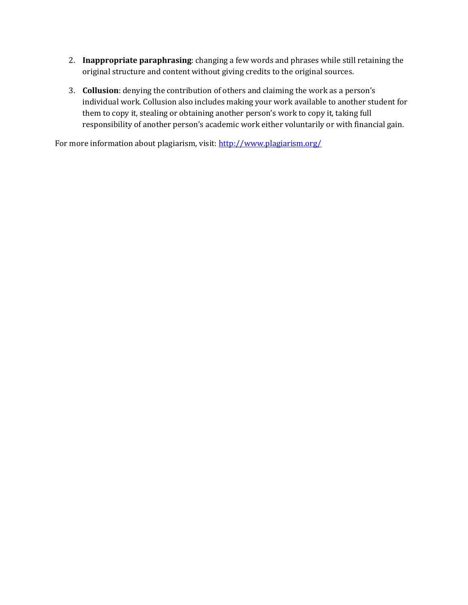- 2. **Inappropriate paraphrasing**: changing a few words and phrases while still retaining the original structure and content without giving credits to the original sources.
- 3. **Collusion**: denying the contribution of others and claiming the work as a person's individual work. Collusion also includes making your work available to another student for them to copy it, stealing or obtaining another person's work to copy it, taking full responsibility of another person's academic work either voluntarily or with financial gain.

For more information about plagiarism, visit:<http://www.plagiarism.org/>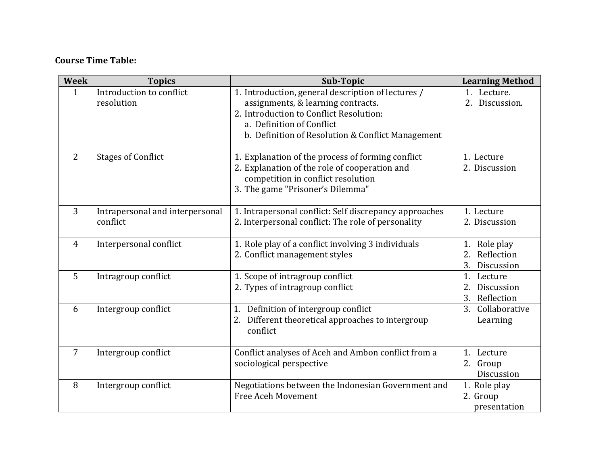# **Course Time Table:**

| <b>Week</b>    | <b>Topics</b>                               | Sub-Topic                                                                                                                                                                                                             | <b>Learning Method</b>                                                |
|----------------|---------------------------------------------|-----------------------------------------------------------------------------------------------------------------------------------------------------------------------------------------------------------------------|-----------------------------------------------------------------------|
| $\mathbf{1}$   | Introduction to conflict<br>resolution      | 1. Introduction, general description of lectures /<br>assignments, & learning contracts.<br>2. Introduction to Conflict Resolution:<br>a. Definition of Conflict<br>b. Definition of Resolution & Conflict Management | 1. Lecture.<br>2.<br>Discussion.                                      |
| 2              | <b>Stages of Conflict</b>                   | 1. Explanation of the process of forming conflict<br>2. Explanation of the role of cooperation and<br>competition in conflict resolution<br>3. The game "Prisoner's Dilemma"                                          | 1. Lecture<br>2. Discussion                                           |
| 3              | Intrapersonal and interpersonal<br>conflict | 1. Intrapersonal conflict: Self discrepancy approaches<br>2. Interpersonal conflict: The role of personality                                                                                                          | 1. Lecture<br>2. Discussion                                           |
| $\overline{4}$ | Interpersonal conflict                      | 1. Role play of a conflict involving 3 individuals<br>2. Conflict management styles                                                                                                                                   | Role play<br>1.<br>$\overline{2}$ .<br>Reflection<br>3.<br>Discussion |
| 5              | Intragroup conflict                         | 1. Scope of intragroup conflict<br>2. Types of intragroup conflict                                                                                                                                                    | 1.<br>Lecture<br>2.<br>Discussion<br>3.<br>Reflection                 |
| 6              | Intergroup conflict                         | 1. Definition of intergroup conflict<br>2. Different theoretical approaches to intergroup<br>conflict                                                                                                                 | Collaborative<br>3.<br>Learning                                       |
| 7              | Intergroup conflict                         | Conflict analyses of Aceh and Ambon conflict from a<br>sociological perspective                                                                                                                                       | 1. Lecture<br>2. Group<br>Discussion                                  |
| 8              | Intergroup conflict                         | Negotiations between the Indonesian Government and<br><b>Free Aceh Movement</b>                                                                                                                                       | 1. Role play<br>2. Group<br>presentation                              |